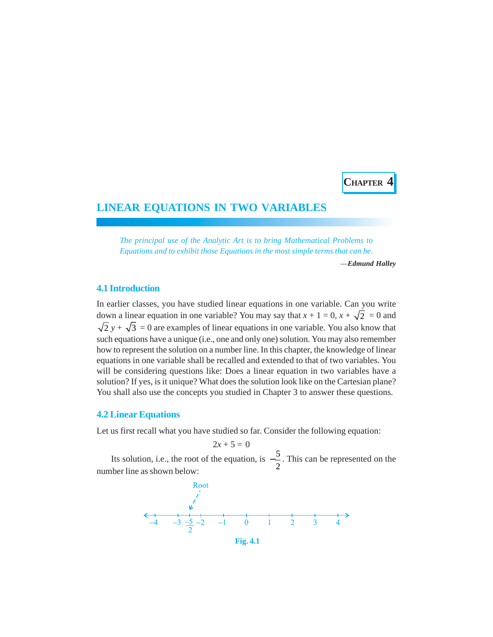**CHAPTER 4**

# **LINEAR EQUATIONS IN TWO VARIABLES**

*The principal use of the Analytic Art is to bring Mathematical Problems to Equations and to exhibit those Equations in the most simple terms that can be.*

—*Edmund Halley*

# **4.1 Introduction**

In earlier classes, you have studied linear equations in one variable. Can you write down a linear equation in one variable? You may say that  $x + 1 = 0$ ,  $x + \sqrt{2} = 0$  and  $\sqrt{2}$  *y* +  $\sqrt{3}$  = 0 are examples of linear equations in one variable. You also know that such equations have a unique (i.e., one and only one) solution. You may also remember how to represent the solution on a number line. In this chapter, the knowledge of linear equations in one variable shall be recalled and extended to that of two variables. You will be considering questions like: Does a linear equation in two variables have a solution? If yes, is it unique? What does the solution look like on the Cartesian plane? You shall also use the concepts you studied in Chapter 3 to answer these questions.

### **4.2 Linear Equations**

Let us first recall what you have studied so far. Consider the following equation:

 $2x + 5 = 0$ Its solution, i.e., the root of the equation, is  $-\frac{5}{5}$ 2  $-\frac{3}{2}$ . This can be represented on the number line as shown below:

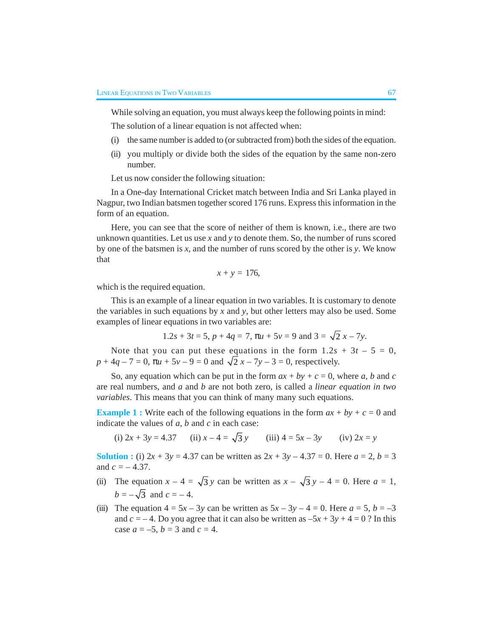While solving an equation, you must always keep the following points in mind:

The solution of a linear equation is not affected when:

- (i) the same number is added to (or subtracted from) both the sides of the equation.
- (ii) you multiply or divide both the sides of the equation by the same non-zero number.

Let us now consider the following situation:

In a One-day International Cricket match between India and Sri Lanka played in Nagpur, two Indian batsmen together scored 176 runs. Express this information in the form of an equation.

Here, you can see that the score of neither of them is known, i.e., there are two unknown quantities. Let us use *x* and *y* to denote them. So, the number of runs scored by one of the batsmen is *x*, and the number of runs scored by the other is *y*. We know that

$$
x + y = 176,
$$

which is the required equation.

This is an example of a linear equation in two variables. It is customary to denote the variables in such equations by  $x$  and  $y$ , but other letters may also be used. Some examples of linear equations in two variables are:

$$
1.2s + 3t = 5
$$
,  $p + 4q = 7$ ,  $\pi u + 5v = 9$  and  $3 = \sqrt{2}x - 7y$ .

Note that you can put these equations in the form  $1.2s + 3t - 5 = 0$ ,  $p + 4q - 7 = 0$ ,  $\pi u + 5v - 9 = 0$  and  $\sqrt{2}x - 7y - 3 = 0$ , respectively.

So, any equation which can be put in the form  $ax + by + c = 0$ , where *a*, *b* and *c* are real numbers, and *a* and *b* are not both zero, is called a *linear equation in two variables*. This means that you can think of many many such equations.

**Example 1 :** Write each of the following equations in the form  $ax + by + c = 0$  and indicate the values of *a*, *b* and *c* in each case:

(i)  $2x + 3y = 4.37$  (ii)  $x - 4 = \sqrt{3} y$  (iii)  $4 = 5x - 3y$  (iv)  $2x = y$ 

**Solution :** (i)  $2x + 3y = 4.37$  can be written as  $2x + 3y - 4.37 = 0$ . Here  $a = 2$ ,  $b = 3$ and  $c = -4.37$ .

- (ii) The equation  $x 4 = \sqrt{3} y$  can be written as  $x \sqrt{3} y 4 = 0$ . Here  $a = 1$ ,  $b = -\sqrt{3}$  and  $c = -4$ .
- (iii) The equation  $4 = 5x 3y$  can be written as  $5x 3y 4 = 0$ . Here  $a = 5$ ,  $b = -3$ and  $c = -4$ . Do you agree that it can also be written as  $-5x + 3y + 4 = 0$ ? In this case  $a = -5$ ,  $b = 3$  and  $c = 4$ .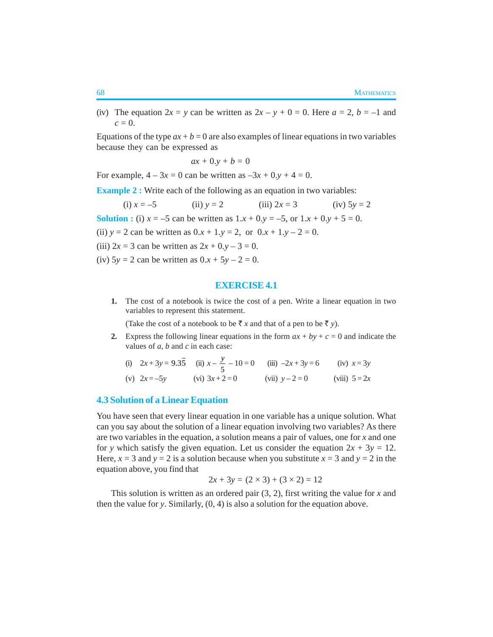(iv) The equation  $2x = y$  can be written as  $2x - y + 0 = 0$ . Here  $a = 2$ ,  $b = -1$  and  $c = 0$ .

Equations of the type  $ax + b = 0$  are also examples of linear equations in two variables because they can be expressed as

$$
ax + 0.y + b = 0
$$

For example,  $4 - 3x = 0$  can be written as  $-3x + 0. y + 4 = 0$ .

**Example 2 :** Write each of the following as an equation in two variables:

(i) 
$$
x = -5
$$
 (ii)  $y = 2$  (iii)  $2x = 3$  (iv)  $5y = 2$ 

**Solution :** (i)  $x = -5$  can be written as  $1 \cdot x + 0 \cdot y = -5$ , or  $1 \cdot x + 0 \cdot y + 5 = 0$ .

(ii)  $y = 2$  can be written as  $0 \cdot x + 1 \cdot y = 2$ , or  $0 \cdot x + 1 \cdot y - 2 = 0$ .

- (iii)  $2x = 3$  can be written as  $2x + 0. y 3 = 0$ .
- (iv)  $5y = 2$  can be written as  $0.x + 5y 2 = 0$ .

#### **EXERCISE 4.1**

**1.** The cost of a notebook is twice the cost of a pen. Write a linear equation in two variables to represent this statement.

(Take the cost of a notebook to be  $\bar{x}$  x and that of a pen to be  $\bar{z}$  y).

**2.** Express the following linear equations in the form  $ax + by + c = 0$  and indicate the values of *a*, *b* and *c* in each case:

(i) 
$$
2x + 3y = 9.3\overline{5}
$$
 (ii)  $x - \frac{y}{5} - 10 = 0$  (iii)  $-2x + 3y = 6$  (iv)  $x = 3y$   
\n(v)  $2x = -5y$  (vi)  $3x + 2 = 0$  (vii)  $y - 2 = 0$  (viii)  $5 = 2x$ 

# **4.3 Solution of a Linear Equation**

You have seen that every linear equation in one variable has a unique solution. What can you say about the solution of a linear equation involving two variables? As there are two variables in the equation, a solution means a pair of values, one for *x* and one for *y* which satisfy the given equation. Let us consider the equation  $2x + 3y = 12$ . Here,  $x = 3$  and  $y = 2$  is a solution because when you substitute  $x = 3$  and  $y = 2$  in the equation above, you find that

$$
2x + 3y = (2 \times 3) + (3 \times 2) = 12
$$

This solution is written as an ordered pair (3, 2), first writing the value for *x* and then the value for *y*. Similarly, (0, 4) is also a solution for the equation above.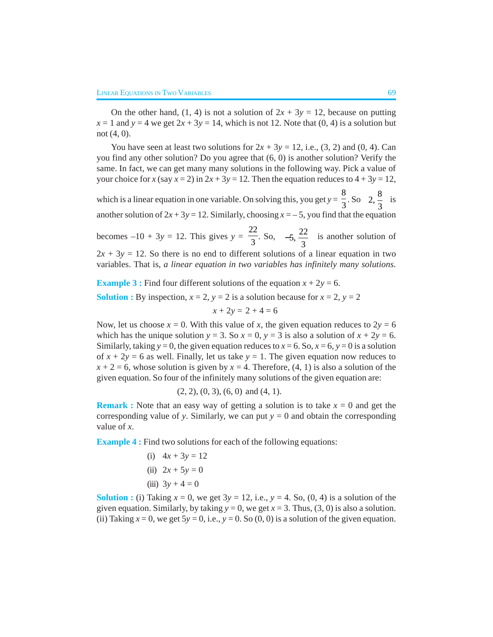On the other hand,  $(1, 4)$  is not a solution of  $2x + 3y = 12$ , because on putting  $x = 1$  and  $y = 4$  we get  $2x + 3y = 14$ , which is not 12. Note that (0, 4) is a solution but not (4, 0).

You have seen at least two solutions for  $2x + 3y = 12$ , i.e.,  $(3, 2)$  and  $(0, 4)$ . Can you find any other solution? Do you agree that (6, 0) is another solution? Verify the same. In fact, we can get many many solutions in the following way. Pick a value of your choice for *x* (say  $x = 2$ ) in  $2x + 3y = 12$ . Then the equation reduces to  $4 + 3y = 12$ , which is a linear equation in one variable. On solving this, you get  $y = \frac{8}{3}$ . So  $\left(2, \frac{8}{3}\right)$  is another solution of  $2x + 3y = 12$ . Similarly, choosing  $x = -5$ , you find that the equation becomes  $-10 + 3y = 12$ . This gives  $y = \frac{22}{3}$ . So,  $\left(-5, \frac{22}{3}\right)$ is another solution of

 $2x + 3y = 12$ . So there is no end to different solutions of a linear equation in two variables. That is, *a linear equation in two variables has infinitely many solutions.*

**Example 3 :** Find four different solutions of the equation  $x + 2y = 6$ . **Solution :** By inspection,  $x = 2$ ,  $y = 2$  is a solution because for  $x = 2$ ,  $y = 2$ 

$$
x + 2y = 2 + 4 = 6
$$

Now, let us choose  $x = 0$ . With this value of x, the given equation reduces to  $2y = 6$ which has the unique solution  $y = 3$ . So  $x = 0$ ,  $y = 3$  is also a solution of  $x + 2y = 6$ . Similarly, taking  $y = 0$ , the given equation reduces to  $x = 6$ . So,  $x = 6$ ,  $y = 0$  is a solution of  $x + 2y = 6$  as well. Finally, let us take  $y = 1$ . The given equation now reduces to  $x + 2 = 6$ , whose solution is given by  $x = 4$ . Therefore, (4, 1) is also a solution of the given equation. So four of the infinitely many solutions of the given equation are:

$$
(2, 2), (0, 3), (6, 0)
$$
 and  $(4, 1)$ .

**Remark :** Note that an easy way of getting a solution is to take  $x = 0$  and get the corresponding value of *y*. Similarly, we can put  $y = 0$  and obtain the corresponding value of *x*.

**Example 4 :** Find two solutions for each of the following equations:

(i)  $4x + 3y = 12$ (ii)  $2x + 5y = 0$ (iii)  $3y + 4 = 0$ 

**Solution :** (i) Taking  $x = 0$ , we get  $3y = 12$ , i.e.,  $y = 4$ . So, (0, 4) is a solution of the given equation. Similarly, by taking  $y = 0$ , we get  $x = 3$ . Thus, (3, 0) is also a solution. (ii) Taking  $x = 0$ , we get  $5y = 0$ , i.e.,  $y = 0$ . So  $(0, 0)$  is a solution of the given equation.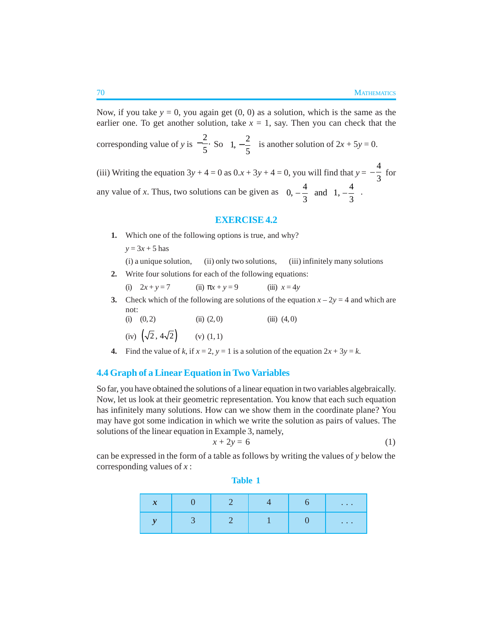Now, if you take  $y = 0$ , you again get  $(0, 0)$  as a solution, which is the same as the earlier one. To get another solution, take  $x = 1$ , say. Then you can check that the corresponding value of *y* is  $-\frac{2}{5}$ .  $-\frac{2}{5}$ . So  $\left(1, -\frac{2}{5}\right)$  is another solution of  $2x + 5y = 0$ . (iii) Writing the equation  $3y + 4 = 0$  as  $0 \cdot x + 3y + 4 = 0$ , you will find that  $y = -\frac{4}{3}$  for any value of *x*. Thus, two solutions can be given as  $\left(0, -\frac{4}{3}\right)$  and  $\left(1, -\frac{4}{3}\right)$ .

#### **EXERCISE 4.2**

- **1.** Which one of the following options is true, and why?
	- $y = 3x + 5$  has

```
(i) a unique solution, (ii) only two solutions, (iii) infinitely many solutions
```
- **2.** Write four solutions for each of the following equations:
	- (i)  $2x + y = 7$  (ii)  $\pi x + y = 9$  (iii)  $x = 4y$
- **3.** Check which of the following are solutions of the equation  $x 2y = 4$  and which are not:
	- (i)  $(0, 2)$  (ii)  $(2, 0)$  (iii)  $(4, 0)$ (iv)  $(\sqrt{2}, 4\sqrt{2})$  (v) (1, 1)
- **4.** Find the value of *k*, if  $x = 2$ ,  $y = 1$  is a solution of the equation  $2x + 3y = k$ .

# **4.4 Graph of a Linear Equation in Two Variables**

So far, you have obtained the solutions of a linear equation in two variables algebraically. Now, let us look at their geometric representation. You know that each such equation has infinitely many solutions. How can we show them in the coordinate plane? You may have got some indication in which we write the solution as pairs of values. The solutions of the linear equation in Example 3, namely,

$$
x + 2y = 6 \tag{1}
$$

can be expressed in the form of a table as follows by writing the values of *y* below the corresponding values of *x* :

**Table 1**

| $\mathbf{v}$<br>$\boldsymbol{\lambda}$ |  |  | $\sim$ $\sim$ $\sim$ |
|----------------------------------------|--|--|----------------------|
|                                        |  |  | $\sim$ $\sim$ $\sim$ |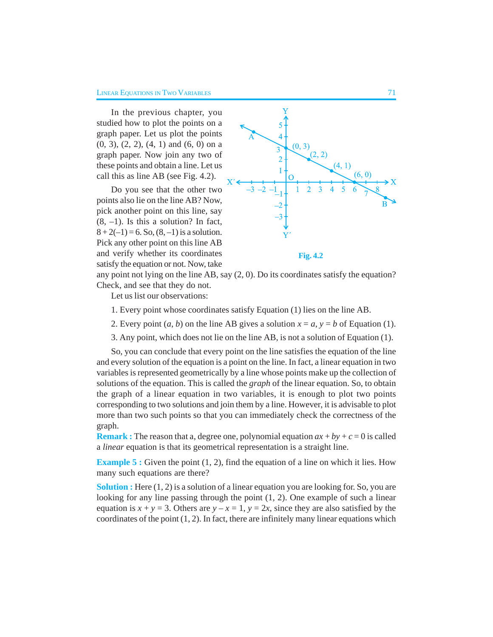In the previous chapter, you studied how to plot the points on a graph paper. Let us plot the points (0, 3), (2, 2), (4, 1) and (6, 0) on a graph paper. Now join any two of these points and obtain a line. Let us call this as line AB (see Fig. 4.2).

Do you see that the other two points also lie on the line AB? Now, pick another point on this line, say  $(8, -1)$ . Is this a solution? In fact,  $8 + 2(-1) = 6$ . So,  $(8, -1)$  is a solution. Pick any other point on this line AB and verify whether its coordinates satisfy the equation or not. Now, take



any point not lying on the line AB, say (2, 0). Do its coordinates satisfy the equation? Check, and see that they do not.

Let us list our observations:

- 1. Every point whose coordinates satisfy Equation (1) lies on the line AB.
- 2. Every point  $(a, b)$  on the line AB gives a solution  $x = a$ ,  $y = b$  of Equation (1).
- 3. Any point, which does not lie on the line AB, is not a solution of Equation (1).

So, you can conclude that every point on the line satisfies the equation of the line and every solution of the equation is a point on the line. In fact, a linear equation in two variables is represented geometrically by a line whose points make up the collection of solutions of the equation. This is called the *graph* of the linear equation. So, to obtain the graph of a linear equation in two variables, it is enough to plot two points corresponding to two solutions and join them by a line. However, it is advisable to plot more than two such points so that you can immediately check the correctness of the graph.

**Remark :** The reason that a, degree one, polynomial equation  $ax + by + c = 0$  is called a *linear* equation is that its geometrical representation is a straight line.

**Example 5 :** Given the point (1, 2), find the equation of a line on which it lies. How many such equations are there?

**Solution :** Here  $(1, 2)$  is a solution of a linear equation you are looking for. So, you are looking for any line passing through the point (1, 2). One example of such a linear equation is  $x + y = 3$ . Others are  $y - x = 1$ ,  $y = 2x$ , since they are also satisfied by the coordinates of the point  $(1, 2)$ . In fact, there are infinitely many linear equations which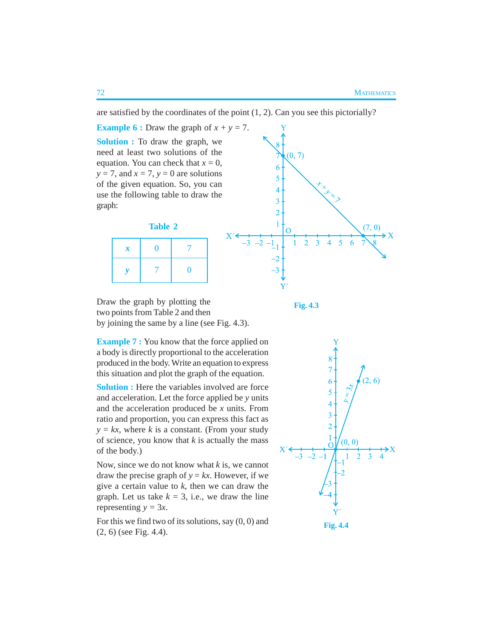are satisfied by the coordinates of the point  $(1, 2)$ . Can you see this pictorially?

**Example 6 :** Draw the graph of  $x + y = 7$ . **Solution :** To draw the graph, we need at least two solutions of the equation. You can check that  $x = 0$ ,  $y = 7$ , and  $x = 7$ ,  $y = 0$  are solutions of the given equation. So, you can use the following table to draw the graph:





Draw the graph by plotting the two points from Table 2 and then by joining the same by a line (see Fig. 4.3).

**Fig. 4.3**

**Example 7 :** You know that the force applied on a body is directly proportional to the acceleration produced in the body. Write an equation to express this situation and plot the graph of the equation.

**Solution :** Here the variables involved are force and acceleration. Let the force applied be *y* units and the acceleration produced be *x* units. From ratio and proportion, you can express this fact as  $y = kx$ , where *k* is a constant. (From your study of science, you know that *k* is actually the mass of the body.)

Now, since we do not know what *k* is, we cannot draw the precise graph of  $y = kx$ . However, if we give a certain value to *k*, then we can draw the graph. Let us take  $k = 3$ , i.e., we draw the line representing  $y = 3x$ .

For this we find two of its solutions, say  $(0, 0)$  and (2, 6) (see Fig. 4.4).

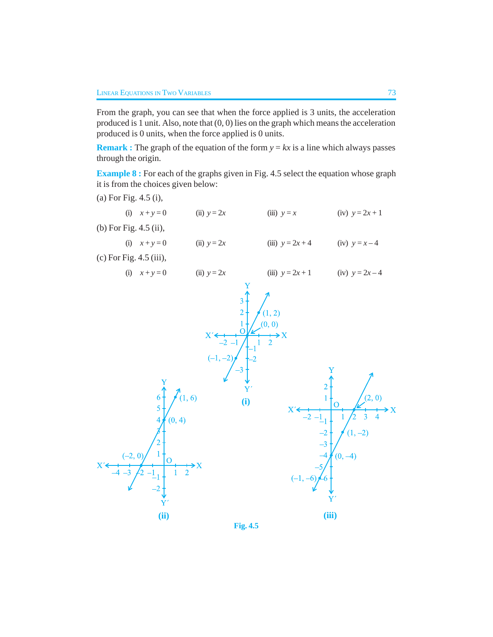From the graph, you can see that when the force applied is 3 units, the acceleration produced is 1 unit. Also, note that (0, 0) lies on the graph which means the acceleration produced is 0 units, when the force applied is 0 units.

**Remark :** The graph of the equation of the form  $y = kx$  is a line which always passes through the origin.

**Example 8 :** For each of the graphs given in Fig. 4.5 select the equation whose graph it is from the choices given below:

(a) For Fig. 4.5 (i), (i)  $x + y = 0$  (ii)  $y = 2x$  (iii)  $y = x$  (iv)  $y = 2x + 1$ (b) For Fig. 4.5 (ii), (i)  $x + y = 0$  (ii)  $y = 2x$  (iii)  $y = 2x + 4$  (iv)  $y = x - 4$ (c) For Fig. 4.5 (iii), (i)  $x + y = 0$  (ii)  $y = 2x$  (iii)  $y = 2x + 1$  (iv)  $y = 2x - 4$  $\mathcal{D}$  $(0, 0)$ Ÿ  $(1, 6)$  $\Omega$ **(i)** $(0, 4)$  $-2)$  $(1,$  $(0, -4)$ **(ii) (iii)**

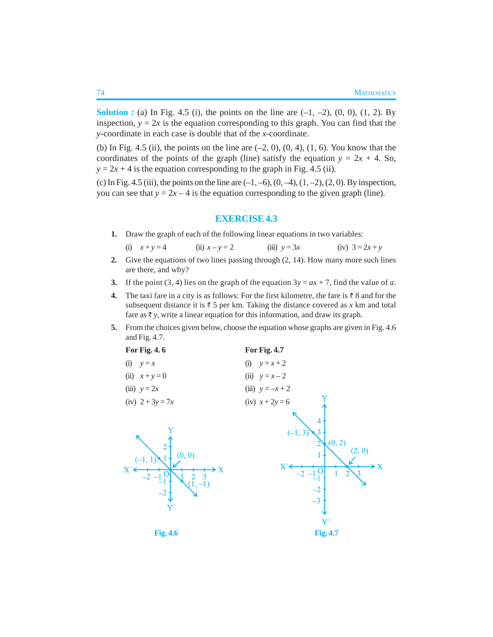**Solution :** (a) In Fig. 4.5 (i), the points on the line are  $(-1, -2)$ ,  $(0, 0)$ ,  $(1, 2)$ . By inspection,  $y = 2x$  is the equation corresponding to this graph. You can find that the *y*-coordinate in each case is double that of the *x*-coordinate.

(b) In Fig. 4.5 (ii), the points on the line are  $(-2, 0)$ ,  $(0, 4)$ ,  $(1, 6)$ . You know that the coordinates of the points of the graph (line) satisfy the equation  $y = 2x + 4$ . So,  $y = 2x + 4$  is the equation corresponding to the graph in Fig. 4.5 (ii).

(c) In Fig. 4.5 (iii), the points on the line are  $(-1, -6)$ ,  $(0, -4)$ ,  $(1, -2)$ ,  $(2, 0)$ . By inspection, you can see that  $y = 2x - 4$  is the equation corresponding to the given graph (line).

### **EXERCISE 4.3**

**1.** Draw the graph of each of the following linear equations in two variables:

(i) 
$$
x + y = 4
$$
 (ii)  $x - y = 2$  (iii)  $y = 3x$  (iv)  $3 = 2x + y$ 

- **2.** Give the equations of two lines passing through (2, 14). How many more such lines are there, and why?
- **3.** If the point (3, 4) lies on the graph of the equation  $3y = ax + 7$ , find the value of *a*.
- **4.** The taxi fare in a city is as follows: For the first kilometre, the fare is  $\bar{\tau}$  8 and for the subsequent distance it is  $\bar{z}$  5 per km. Taking the distance covered as *x* km and total fare as  $\bar{\tau}$  y, write a linear equation for this information, and draw its graph.
- **5.** From the choices given below, choose the equation whose graphs are given in Fig. 4.6 and Fig. 4.7.

| For Fig. 4.6                                                     | <b>For Fig. 4.7</b>                                                  |  |  |
|------------------------------------------------------------------|----------------------------------------------------------------------|--|--|
| (i)<br>$y = x$                                                   | $y = x + 2$<br>(i)                                                   |  |  |
| (ii)<br>$x+y=0$                                                  | (ii) $y = x - 2$                                                     |  |  |
| (iii) $y = 2x$                                                   | (iii) $y = -x + 2$                                                   |  |  |
| (iv) $2 + 3y = 7x$                                               | Y<br>(iv) $x + 2y = 6$                                               |  |  |
| $\overline{2}$<br>(0, 0)<br>X<br>X<br>3<br>$(\bar{1}, -1)$<br>Y' | 4<br>$(-1, 3)$<br>(0, 2)<br>(2, 0)<br>X'<br>۰x<br>$-3$<br>${\rm Y'}$ |  |  |
| <b>Fig. 4.6</b>                                                  | <b>Fig. 4.7</b>                                                      |  |  |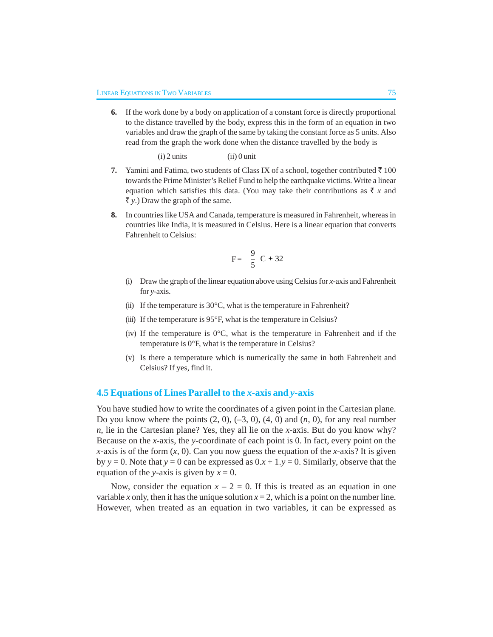**6.** If the work done by a body on application of a constant force is directly proportional to the distance travelled by the body, express this in the form of an equation in two variables and draw the graph of the same by taking the constant force as 5 units. Also read from the graph the work done when the distance travelled by the body is

 $(i)$  2 units  $(ii)$  0 unit

- **7.** Yamini and Fatima, two students of Class IX of a school, together contributed  $\bar{\tau}$  100 towards the Prime Minister's Relief Fund to help the earthquake victims. Write a linear equation which satisfies this data. (You may take their contributions as  $\bar{x}$  x and  $\bar{\tau}$  y.) Draw the graph of the same.
- **8.** In countries like USA and Canada, temperature is measured in Fahrenheit, whereas in countries like India, it is measured in Celsius. Here is a linear equation that converts Fahrenheit to Celsius:

$$
F = \left(\frac{9}{5}\right)C + 32
$$

- (i) Draw the graph of the linear equation above using Celsius for *x*-axis and Fahrenheit for *y*-axis.
- (ii) If the temperature is  $30^{\circ}$ C, what is the temperature in Fahrenheit?
- (iii) If the temperature is 95°F, what is the temperature in Celsius?
- (iv) If the temperature is  $0^{\circ}$ C, what is the temperature in Fahrenheit and if the temperature is 0°F, what is the temperature in Celsius?
- (v) Is there a temperature which is numerically the same in both Fahrenheit and Celsius? If yes, find it.

#### **4.5 Equations of Lines Parallel to the** *x***-axis and** *y***-axis**

You have studied how to write the coordinates of a given point in the Cartesian plane. Do you know where the points (2, 0), (–3, 0), (4, 0) and (*n*, 0), for any real number *n*, lie in the Cartesian plane? Yes, they all lie on the *x*-axis. But do you know why? Because on the *x*-axis, the *y*-coordinate of each point is 0. In fact, every point on the *x*-axis is of the form  $(x, 0)$ . Can you now guess the equation of the *x*-axis? It is given by  $y = 0$ . Note that  $y = 0$  can be expressed as  $0.x + 1.y = 0$ . Similarly, observe that the equation of the *y*-axis is given by  $x = 0$ .

Now, consider the equation  $x - 2 = 0$ . If this is treated as an equation in one variable *x* only, then it has the unique solution  $x = 2$ , which is a point on the number line. However, when treated as an equation in two variables, it can be expressed as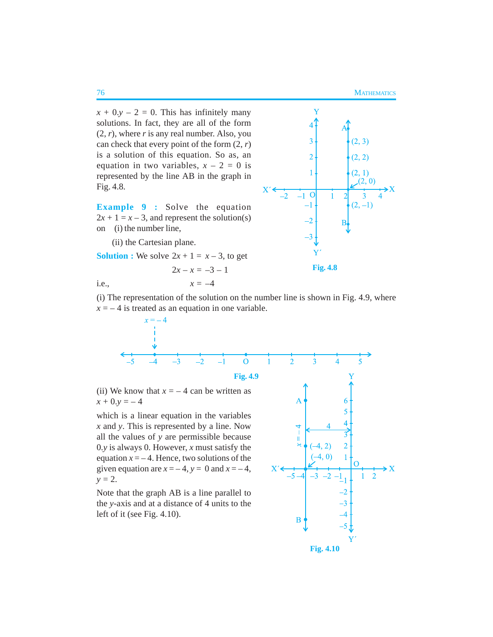$(2, 3)$ 

 $(2, 2)$ 

 $(2, 1)$  $(2, 0)$ 

 $(2,-1)$ 

Y

 $\overline{3}$ 

 $\overline{2}$ 

 $\mathbf{1}$ 

 $\overline{0}$  $-1$ 

 $-2$  $-3$ 

 $x + 0. y - 2 = 0$ . This has infinitely many solutions. In fact, they are all of the form  $(2, r)$ , where *r* is any real number. Also, you can check that every point of the form (2, *r*) is a solution of this equation. So as, an equation in two variables,  $x - 2 = 0$  is represented by the line AB in the graph in Fig. 4.8.

**Example 9 :** Solve the equation  $2x + 1 = x - 3$ , and represent the solution(s) on (i) the number line,

(ii) the Cartesian plane.

**Solution :** We solve  $2x + 1 = x - 3$ , to get

$$
2x - x = -3 - 1
$$
 Fig. 4.8  
i.e.,  $x = -4$ 

 $\mathbf{X}^{\prime}$ 

(i) The representation of the solution on the number line is shown in Fig. 4.9, where  $x = -4$  is treated as an equation in one variable.



(ii) We know that  $x = -4$  can be written as  $x + 0. y = -4$ 

which is a linear equation in the variables *x* and *y*. This is represented by a line. Now all the values of *y* are permissible because 0.*y* is always 0. However, *x* must satisfy the equation  $x = -4$ . Hence, two solutions of the given equation are  $x = -4$ ,  $y = 0$  and  $x = -4$ ,  $y = 2$ .

Note that the graph AB is a line parallel to the *y*-axis and at a distance of 4 units to the left of it (see Fig. 4.10).